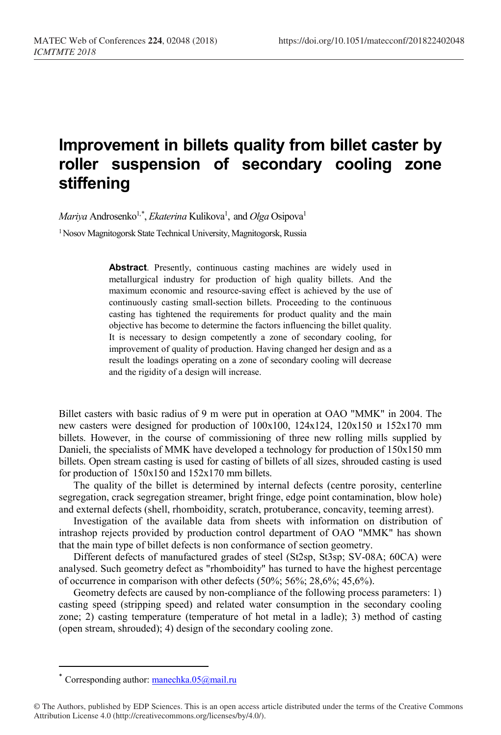## **Improvement in billets quality from billet caster by roller suspension of secondary cooling zone stiffening**

 $Mariya$  Androsenko<sup>1,[\\*](#page-0-0)</sup>, *Ekaterina* Kulikova<sup>1</sup>, and *Olga* Osipova<sup>1</sup>

1 Nosov Magnitogorsk State Technical University, Magnitogorsk, Russia

**Abstract**. Presently, continuous casting machines are widely used in metallurgical industry for production of high quality billets. And the maximum economic and resource-saving effect is achieved by the use of continuously casting small-section billets. Proceeding to the continuous casting has tightened the requirements for product quality and the main objective has become to determine the factors influencing the billet quality. It is necessary to design competently a zone of secondary cooling, for improvement of quality of production. Having changed her design and as a result the loadings operating on a zone of secondary cooling will decrease and the rigidity of a design will increase.

Billet casters with basic radius of 9 m were put in operation at OAO "MMK" in 2004. The new casters were designed for production of 100x100, 124x124, 120x150 и 152x170 mm billets. However, in the course of commissioning of three new rolling mills supplied by Danieli, the specialists of MMK have developed a technology for production of 150x150 mm billets. Open stream casting is used for casting of billets of all sizes, shrouded casting is used for production of 150x150 and 152x170 mm billets.

The quality of the billet is determined by internal defects (centre porosity, centerline segregation, crack segregation streamer, bright fringe, edge point contamination, blow hole) and external defects (shell, rhomboidity, scratch, protuberance, concavity, teeming arrest).

Investigation of the available data from sheets with information on distribution of intrashop rejects provided by production control department of OAO "MMK" has shown that the main type of billet defects is non conformance of section geometry.

Different defects of manufactured grades of steel (St2sp, St3sp; SV-08A; 60СА) were analysed. Such geometry defect as "rhomboidity" has turned to have the highest percentage of occurrence in comparison with other defects (50%; 56%; 28,6%; 45,6%).

Geometry defects are caused by non-compliance of the following process parameters: 1) casting speed (stripping speed) and related water consumption in the secondary cooling zone; 2) casting temperature (temperature of hot metal in a ladle); 3) method of casting (open stream, shrouded); 4) design of the secondary cooling zone.

l

Corresponding author: [manechka.05@mail.ru](mailto:manechka.05@mail.ru)

<span id="page-0-0"></span><sup>©</sup> The Authors, published by EDP Sciences. This is an open access article distributed under the terms of the Creative Commons Attribution License 4.0 (http://creativecommons.org/licenses/by/4.0/).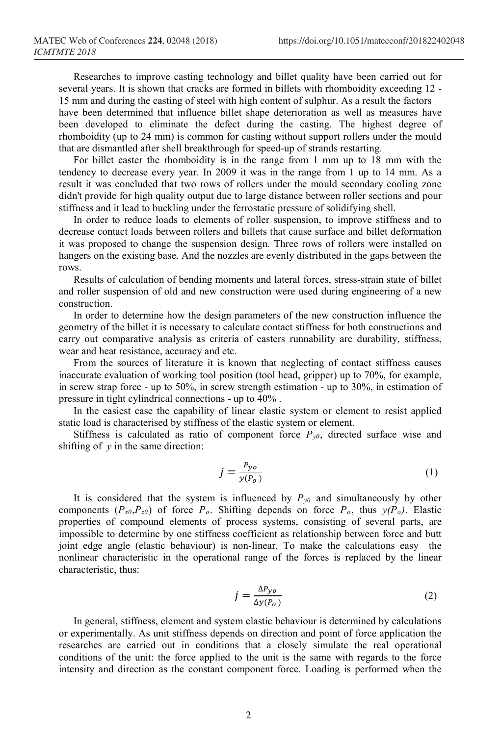Researches to improve casting technology and billet quality have been carried out for several years. It is shown that cracks are formed in billets with rhomboidity exceeding 12 - 15 mm and during the casting of steel with high content of sulphur. As a result the factors have been determined that influence billet shape deterioration as well as measures have been developed to eliminate the defect during the casting. The highest degree of rhomboidity (up to 24 mm) is common for casting without support rollers under the mould that are dismantled after shell breakthrough for speed-up of strands restarting.

For billet caster the rhomboidity is in the range from 1 mm up to 18 mm with the tendency to decrease every year. In 2009 it was in the range from 1 up to 14 mm. As a result it was concluded that two rows of rollers under the mould secondary cooling zone didn't provide for high quality output due to large distance between roller sections and pour stiffness and it lead to buckling under the ferrostatic pressure of solidifying shell.

In order to reduce loads to elements of roller suspension, to improve stiffness and to decrease contact loads between rollers and billets that cause surface and billet deformation it was proposed to change the suspension design. Three rows of rollers were installed on hangers on the existing base. And the nozzles are evenly distributed in the gaps between the rows.

Results of calculation of bending moments and lateral forces, stress-strain state of billet and roller suspension of old and new construction were used during engineering of a new construction.

In order to determine how the design parameters of the new construction influence the geometry of the billet it is necessary to calculate contact stiffness for both constructions and carry out comparative analysis as criteria of casters runnability are durability, stiffness, wear and heat resistance, accuracy and etc.

From the sources of literature it is known that neglecting of contact stiffness causes inaccurate evaluation of working tool position (tool head, gripper) up to 70%, for example, in screw strap force - up to 50%, in screw strength estimation - up to 30%, in estimation of pressure in tight cylindrical connections - up to 40% .

In the easiest case the capability of linear elastic system or element to resist applied static load is characterised by stiffness of the elastic system or element.

Stiffness is calculated as ratio of component force  $P_{v0}$ , directed surface wise and shifting of *у* in the same direction:

$$
j = \frac{P_{yo}}{y(P_o)}\tag{1}
$$

It is considered that the system is influenced by  $P_{y0}$  and simultaneously by other components (*Рх0*,*Рz0*) of force *Ро*. Shifting depends on force *Ро*, thus *у(Ро)*. Elastic properties of compound elements of process systems, consisting of several parts, are impossible to determine by one stiffness coefficient as relationship between force and butt joint edge angle (elastic behaviour) is non-linear. To make the calculations easy the nonlinear characteristic in the operational range of the forces is replaced by the linear characteristic, thus:

$$
j = \frac{\Delta P_{yo}}{\Delta y(P_o)}
$$
 (2)

In general, stiffness, element and system elastic behaviour is determined by calculations or experimentally. As unit stiffness depends on direction and point of force application the researches are carried out in conditions that a closely simulate the real operational conditions of the unit: the force applied to the unit is the same with regards to the force intensity and direction as the constant component force. Loading is performed when the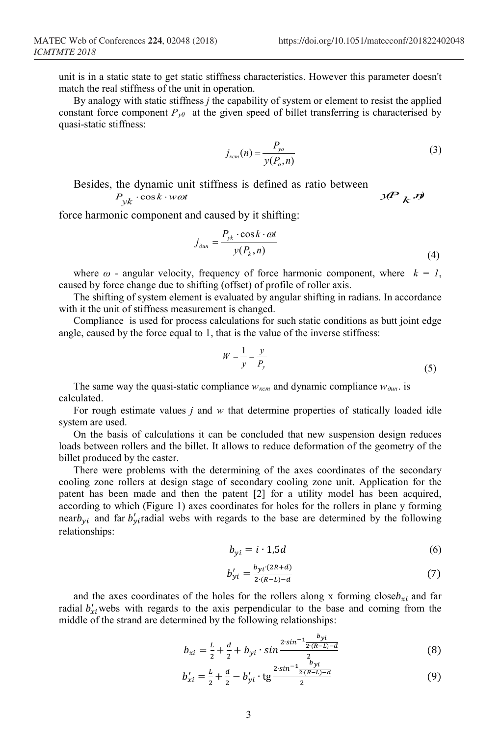unit is in a static state to get static stiffness characteristics. However this parameter doesn't match the real stiffness of the unit in operation.

By analogy with static stiffness *j* the capability of system or element to resist the applied constant force component  $P_{y0}$  at the given speed of billet transferring is characterised by quasi-static stiffness:

$$
j_{\kappa cm}(n) = \frac{P_{\mathit{yo}}}{y(P_o, n)}
$$
\n<sup>(3)</sup>

Besides, the dynamic unit stiffness is defined as ratio between 
$$
P_{yk} \cdot \cos k \cdot w \omega t
$$

force harmonic component and caused by it shifting:

$$
j_{\partial u n} = \frac{P_{yk} \cdot \cos k \cdot \omega t}{y(P_k, n)}
$$
(4)

where  $\omega$  - angular velocity, frequency of force harmonic component, where  $k = 1$ , caused by force change due to shifting (offset) of profile of roller axis.

The shifting of system element is evaluated by angular shifting in radians. In accordance with it the unit of stiffness measurement is changed.

Compliance is used for process calculations for such static conditions as butt joint edge angle, caused by the force equal to 1, that is the value of the inverse stiffness:

$$
W = \frac{1}{y} = \frac{y}{P_y} \tag{5}
$$

The same way the quasi-static compliance  $w_{\text{kcm}}$  and dynamic compliance  $w_{\text{dust}}$  is calculated.

For rough estimate values *j* and *w* that determine properties of statically loaded idle system are used.

On the basis of calculations it can be concluded that new suspension design reduces loads between rollers and the billet. It allows to reduce deformation of the geometry of the billet produced by the caster.

There were problems with the determining of the axes coordinates of the secondary cooling zone rollers at design stage of secondary cooling zone unit. Application for the patent has been made and then the patent [2] for a utility model has been acquired, according to which (Figure 1) axes coordinates for holes for the rollers in plane y forming near $b_{yi}$  and far  $b'_{yi}$  radial webs with regards to the base are determined by the following relationships:

$$
b_{yi} = i \cdot 1,5d
$$
 (6)

$$
b'_{yi} = \frac{b_{yi}(2R+d)}{2(R-L)-d} \tag{7}
$$

and the axes coordinates of the holes for the rollers along x forming close  $b_{xi}$  and far radial  $b'_{xi}$  webs with regards to the axis perpendicular to the base and coming from the middle of the strand are determined by the following relationships:

$$
b_{xi} = \frac{L}{2} + \frac{d}{2} + b_{yi} \cdot \sin \frac{2 \cdot \sin^{-1} \frac{b_{yi}}{2 \cdot (R-L)-d}}{2}
$$
 (8)

$$
b'_{xi} = \frac{L}{2} + \frac{d}{2} - b'_{yi} \cdot \text{tg} \frac{2 \cdot \sin^{-1} \frac{b_{yi}}{2 \cdot (R-L) - d}}{2} \tag{9}
$$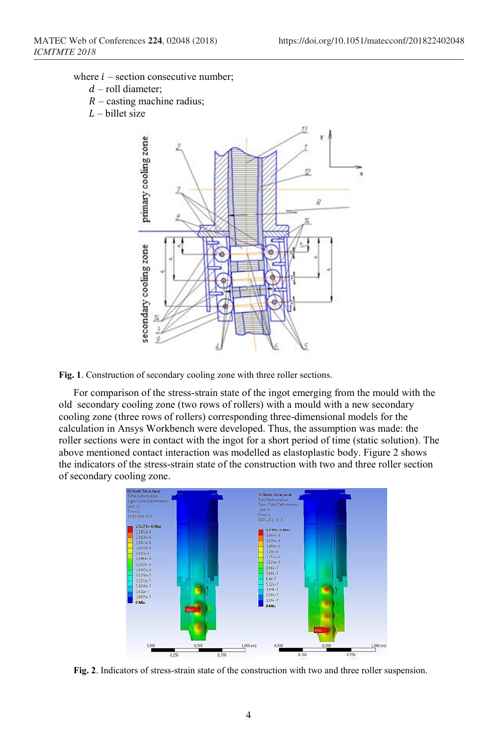where  $i$  – section consecutive number;

- $d$  roll diameter;
- $R$  casting machine radius;
- $L$  billet size



**Fig. 1**. Construction of secondary cooling zone with three roller sections.

For comparison of the stress-strain state of the ingot emerging from the mould with the old secondary cooling zone (two rows of rollers) with a mould with a new secondary cooling zone (three rows of rollers) corresponding three-dimensional models for the calculation in Ansys Workbench were developed. Thus, the assumption was made: the roller sections were in contact with the ingot for a short period of time (static solution). The above mentioned contact interaction was modelled as elastoplastic body. Figure 2 shows the indicators of the stress-strain state of the construction with two and three roller section of secondary cooling zone.



**Fig. 2**. Indicators of stress-strain state of the construction with two and three roller suspension.